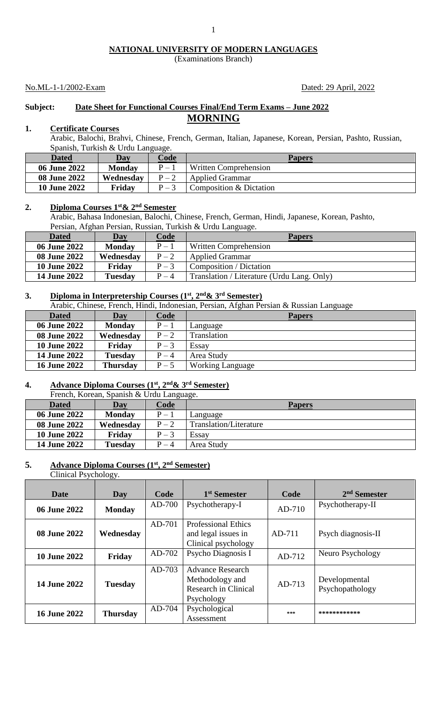## **NATIONAL UNIVERSITY OF MODERN LANGUAGES**

(Examinations Branch)

## No.ML-1-1/2002-Exam Dated: 29 April, 2022

## **Subject: Date Sheet for Functional Courses Final/End Term Exams – June 2022 MORNING**

## **1. Certificate Courses**

Arabic, Balochi, Brahvi, Chinese, French, German, Italian, Japanese, Korean, Persian, Pashto, Russian, Spanish, Turkish & Urdu Language.

| Dated               | Day           | Code    | <b>Papers</b>           |
|---------------------|---------------|---------|-------------------------|
| 06 June 2022        | <b>Monday</b> | $P =$   | Written Comprehension   |
| <b>08 June 2022</b> | Wednesday     | $P - 2$ | <b>Applied Grammar</b>  |
| <b>10 June 2022</b> | Friday        | $P = 3$ | Composition & Dictation |

## **2. Diploma Courses 1st& 2nd Semester**

Arabic, Bahasa Indonesian, Balochi, Chinese, French, German, Hindi, Japanese, Korean, Pashto, Persian, Afghan Persian, Russian, Turkish & Urdu Language.

| <b>Dated</b>        | Day            | Code    | <b>Papers</b>                              |  |
|---------------------|----------------|---------|--------------------------------------------|--|
| 06 June 2022        | <b>Monday</b>  | $P-1$   | Written Comprehension                      |  |
| <b>08 June 2022</b> | Wednesday      | $P-2$   | <b>Applied Grammar</b>                     |  |
| <b>10 June 2022</b> | Friday         | $P-3$   | Composition / Dictation                    |  |
| <b>14 June 2022</b> | <b>Tuesday</b> | $P - 4$ | Translation / Literature (Urdu Lang. Only) |  |

## **3. Diploma in Interpretership Courses (1st, 2nd& 3rd Semester)**

Arabic, Chinese, French, Hindi, Indonesian, Persian, Afghan Persian & Russian Language

| <b>Dated</b>        | Day             | Code    | <b>Papers</b>           |
|---------------------|-----------------|---------|-------------------------|
| <b>06 June 2022</b> | <b>Monday</b>   | $P-1$   | Language                |
| <b>08 June 2022</b> | Wednesday       | $P - 2$ | Translation             |
| <b>10 June 2022</b> | Friday          | $P-3$   | Essay                   |
| <b>14 June 2022</b> | Tuesday         | $P - 4$ | Area Study              |
| <b>16 June 2022</b> | <b>Thursday</b> | $P - 5$ | <b>Working Language</b> |

### **4. Advance Diploma Courses (1st, 2nd& 3rd Semester)** an, Spanish & Urdu Lang

| <b>Dated</b>        | Day           | Code    | <b>Papers</b>          |
|---------------------|---------------|---------|------------------------|
| <b>06 June 2022</b> | <b>Monday</b> | $P-1$   | Language               |
| <b>08 June 2022</b> | Wednesday     | $P - 2$ | Translation/Literature |
| <b>10 June 2022</b> | Friday        | $P-3$   | Essay                  |
| <b>14 June 2022</b> | Tuesday       | $P - 4$ | Area Study             |

## **5. Advance Diploma Courses (1st, 2nd Semester)**

Clinical Psychology.

| <b>Date</b>         | Day             | Code     | 1 <sup>st</sup> Semester                                                         | Code     | $2nd$ Semester                   |
|---------------------|-----------------|----------|----------------------------------------------------------------------------------|----------|----------------------------------|
| 06 June 2022        | <b>Monday</b>   | AD-700   | Psychotherapy-I                                                                  | $AD-710$ | Psychotherapy-II                 |
| 08 June 2022        | Wednesday       | $AD-701$ | <b>Professional Ethics</b><br>and legal issues in<br>Clinical psychology         | AD-711   | Psych diagnosis-II               |
| <b>10 June 2022</b> | Friday          | AD-702   | Psycho Diagnosis I                                                               | AD-712   | Neuro Psychology                 |
| <b>14 June 2022</b> | <b>Tuesday</b>  | $AD-703$ | <b>Advance Research</b><br>Methodology and<br>Research in Clinical<br>Psychology | AD-713   | Developmental<br>Psychopathology |
| <b>16 June 2022</b> | <b>Thursday</b> | AD-704   | Psychological<br>Assessment                                                      | ***      | ************                     |